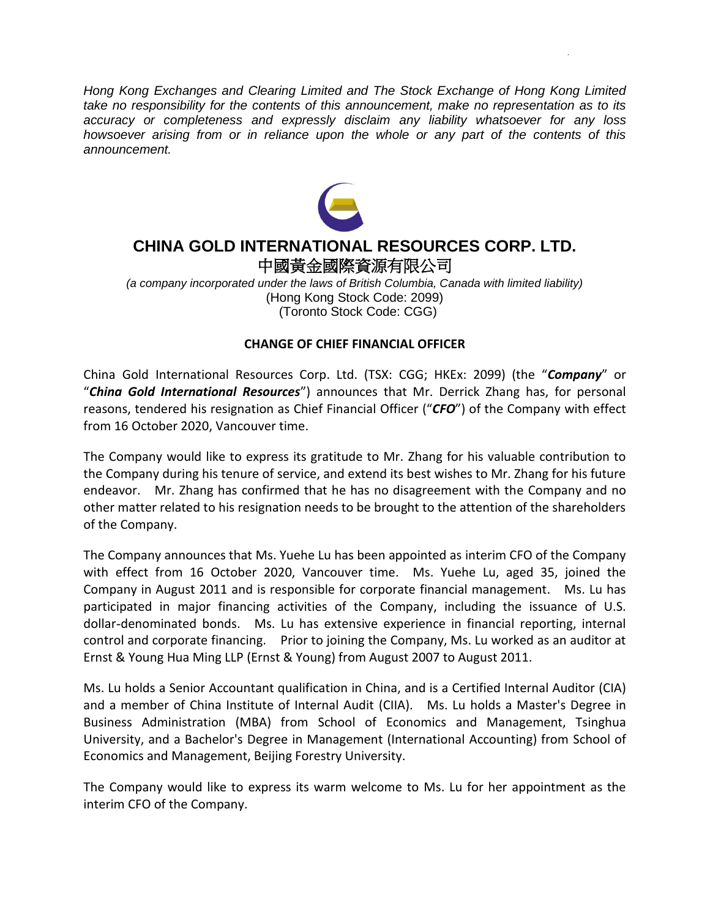*Hong Kong Exchanges and Clearing Limited and The Stock Exchange of Hong Kong Limited take no responsibility for the contents of this announcement, make no representation as to its accuracy or completeness and expressly disclaim any liability whatsoever for any loss howsoever arising from or in reliance upon the whole or any part of the contents of this announcement.*



## **CHINA GOLD INTERNATIONAL RESOURCES CORP. LTD.** 中國黃金國際資源有限公司

*(a company incorporated under the laws of British Columbia, Canada with limited liability)* (Hong Kong Stock Code: 2099) (Toronto Stock Code: CGG)

## **CHANGE OF CHIEF FINANCIAL OFFICER**

China Gold International Resources Corp. Ltd. (TSX: CGG; HKEx: 2099) (the "*Company*" or "*China Gold International Resources*") announces that Mr. Derrick Zhang has, for personal reasons, tendered his resignation as Chief Financial Officer ("*CFO*") of the Company with effect from 16 October 2020, Vancouver time.

The Company would like to express its gratitude to Mr. Zhang for his valuable contribution to the Company during his tenure of service, and extend its best wishes to Mr. Zhang for his future endeavor. Mr. Zhang has confirmed that he has no disagreement with the Company and no other matter related to his resignation needs to be brought to the attention of the shareholders of the Company.

The Company announces that Ms. Yuehe Lu has been appointed as interim CFO of the Company with effect from 16 October 2020, Vancouver time. Ms. Yuehe Lu, aged 35, joined the Company in August 2011 and is responsible for corporate financial management. Ms. Lu has participated in major financing activities of the Company, including the issuance of U.S. dollar-denominated bonds. Ms. Lu has extensive experience in financial reporting, internal control and corporate financing. Prior to joining the Company, Ms. Lu worked as an auditor at Ernst & Young Hua Ming LLP (Ernst & Young) from August 2007 to August 2011.

Ms. Lu holds a Senior Accountant qualification in China, and is a Certified Internal Auditor (CIA) and a member of China Institute of Internal Audit (CIIA). Ms. Lu holds a Master's Degree in Business Administration (MBA) from School of Economics and Management, Tsinghua University, and a Bachelor's Degree in Management (International Accounting) from School of Economics and Management, Beijing Forestry University.

The Company would like to express its warm welcome to Ms. Lu for her appointment as the interim CFO of the Company.